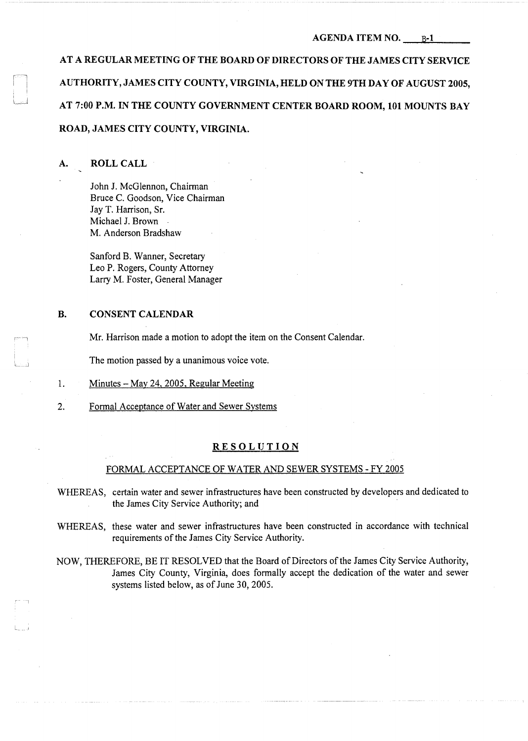AT A REGULAR MEETING OF THE BOARD OF DIRECTORS OF THE JAMES CITY SERVICE AUTHORITY, JAMES CITY COUNTY, VIRGINIA, HELD ON THE 9TH DAY OF AUGUST 2005, AT 7:00 P.M. IN THE COUNTY GOVERNMENT CENTER BOARD ROOM, 101 MOUNTS BAY ROAD, JAMES CITY COUNTY, VIRGINIA.

### A. ROLL CALL

John J. McGlennon, Chairman Bruce C. Goodson, Vice Chairman Jay T. Harrison, Sr. Michael J. Brown . M. Anderson Bradshaw

Sanford B. Wanner, Secretary Leo P. Rogers, County Attorney Larry M. Foster, General Manager

#### B. CONSENT CALENDAR

J

Mr. Harrison made a motion to adopt the item on the Consent Calendar.

The motion passed by a unanimous voice vote.

- 1. Minutes - May 24, 2005, Regular Meeting
- 2. Formal Acceptance of Water and Sewer Systems

#### **RESOLUTION**

#### FORMAL ACCEPTANCE OF WATER AND SEWER SYSTEMS - FY 2005

- WHEREAS, certain water and sewer infrastructures have been constructed by developers and dedicated to the James City Service Authority; and
- WHEREAS, these water and sewer infrastructures have been constructed in accordance with technical requirements of the James City Service Authority.
- NOW, THEREFORE, BE IT RESOLVED that the Board of Directors of the James City Service Authority, James City County, Virginia, does formally accept the dedication of the water and sewer systems listed below, as of June 30, 2005.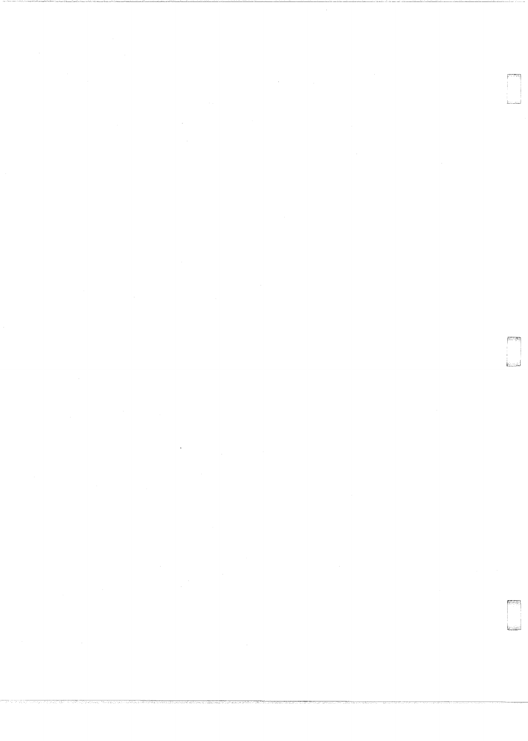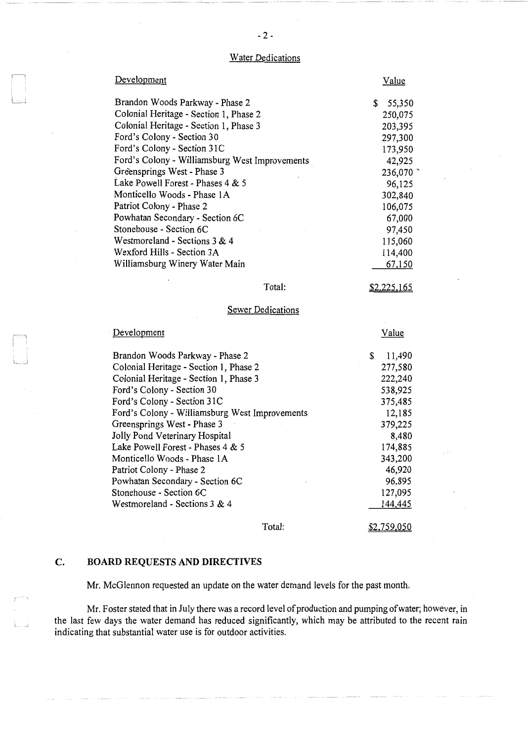## **Water Dedications**

| Development                                    | Value       |
|------------------------------------------------|-------------|
| Brandon Woods Parkway - Phase 2                | S<br>55,350 |
| Colonial Heritage - Section 1, Phase 2         | 250,075     |
| Colonial Heritage - Section 1, Phase 3         | 203,395     |
| Ford's Colony - Section 30                     | 297,300     |
| Ford's Colony - Section 31C                    | 173,950     |
| Ford's Colony - Williamsburg West Improvements | 42,925      |
| Greensprings West - Phase 3                    | 236,070     |
| Lake Powell Forest - Phases 4 & 5              | 96,125      |
| Monticello Woods - Phase 1A                    | 302,840     |
| Patriot Colony - Phase 2                       | 106,075     |
| Powhatan Secondary - Section 6C                | 67,000      |
| Stonehouse - Section 6C                        | 97,450      |
| Westmoreland - Sections 3 & 4                  | 115,060     |
| Wexford Hills - Section 3A                     | 114,400     |
| Williamsburg Winery Water Main                 | 67,150      |

Total:

\$2.225.165

Value

## **Sewer Dedications**

| Brandon Woods Parkway - Phase 2                | S<br>11,490 |
|------------------------------------------------|-------------|
| Colonial Heritage - Section 1, Phase 2         | 277,580     |
| Colonial Heritage - Section 1, Phase 3         | 222,240     |
| Ford's Colony - Section 30                     | 538,925     |
| Ford's Colony - Section 31C                    | 375,485     |
| Ford's Colony - Williamsburg West Improvements | 12,185      |
| Greensprings West - Phase 3                    | 379,225     |
| Jolly Pond Veterinary Hospital                 | 8,480       |
| Lake Powell Forest - Phases 4 & 5              | 174,885     |
| Monticello Woods - Phase 1A                    | 343,200     |
| Patriot Colony - Phase 2                       | 46,920      |
| Powhatan Secondary - Section 6C                | 96,895      |
| Stonehouse - Section 6C                        | 127,095     |
| Westmoreland - Sections 3 & 4                  | 144,445     |
| Total:                                         | \$2,759,050 |

# **C. BOARD REQUESTS AND DIRECTIVES**

Development

L~ \_i

i.

Mr. McGlennon requested an update on the water demand levels for the past month.

Mr. Foster stated that in July there was a record level of production and pumping of water; however, in the last few days the water demand has reduced significantly, which may be attributed to the recent rain indicating that substantial water use is for outdoor activities.